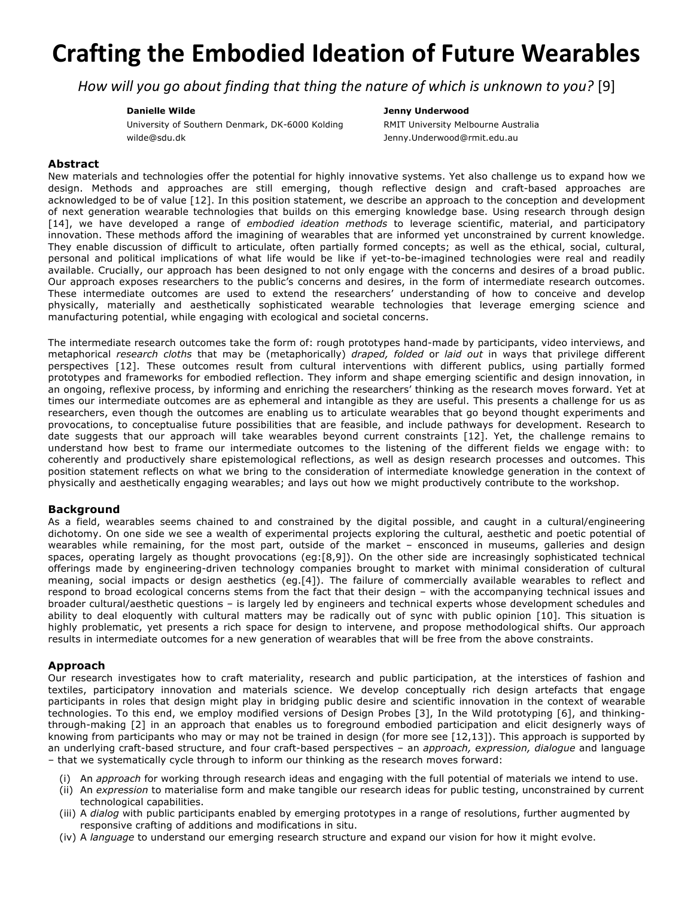# **Crafting the Embodied Ideation of Future Wearables**

*How* will you go about finding that thing the nature of which is unknown to you? [9]

#### **Danielle Wilde**

#### **Jenny Underwood**

University of Southern Denmark, DK-6000 Kolding wilde@sdu.dk

RMIT University Melbourne Australia Jenny.Underwood@rmit.edu.au

## **Abstract**

New materials and technologies offer the potential for highly innovative systems. Yet also challenge us to expand how we design. Methods and approaches are still emerging, though reflective design and craft-based approaches are acknowledged to be of value [12]. In this position statement, we describe an approach to the conception and development of next generation wearable technologies that builds on this emerging knowledge base. Using research through design [14], we have developed a range of *embodied ideation methods* to leverage scientific, material, and participatory innovation. These methods afford the imagining of wearables that are informed yet unconstrained by current knowledge. They enable discussion of difficult to articulate, often partially formed concepts; as well as the ethical, social, cultural, personal and political implications of what life would be like if yet-to-be-imagined technologies were real and readily available. Crucially, our approach has been designed to not only engage with the concerns and desires of a broad public. Our approach exposes researchers to the public's concerns and desires, in the form of intermediate research outcomes. These intermediate outcomes are used to extend the researchers' understanding of how to conceive and develop physically, materially and aesthetically sophisticated wearable technologies that leverage emerging science and manufacturing potential, while engaging with ecological and societal concerns.

The intermediate research outcomes take the form of: rough prototypes hand-made by participants, video interviews, and metaphorical *research cloths* that may be (metaphorically) *draped, folded* or *laid out* in ways that privilege different perspectives [12]. These outcomes result from cultural interventions with different publics, using partially formed prototypes and frameworks for embodied reflection. They inform and shape emerging scientific and design innovation, in an ongoing, reflexive process, by informing and enriching the researchers' thinking as the research moves forward. Yet at times our intermediate outcomes are as ephemeral and intangible as they are useful. This presents a challenge for us as researchers, even though the outcomes are enabling us to articulate wearables that go beyond thought experiments and provocations, to conceptualise future possibilities that are feasible, and include pathways for development. Research to date suggests that our approach will take wearables beyond current constraints [12]. Yet, the challenge remains to understand how best to frame our intermediate outcomes to the listening of the different fields we engage with: to coherently and productively share epistemological reflections, as well as design research processes and outcomes. This position statement reflects on what we bring to the consideration of intermediate knowledge generation in the context of physically and aesthetically engaging wearables; and lays out how we might productively contribute to the workshop.

## **Background**

As a field, wearables seems chained to and constrained by the digital possible, and caught in a cultural/engineering dichotomy. On one side we see a wealth of experimental projects exploring the cultural, aesthetic and poetic potential of wearables while remaining, for the most part, outside of the market – ensconced in museums, galleries and design spaces, operating largely as thought provocations (eg:[8,9]). On the other side are increasingly sophisticated technical offerings made by engineering-driven technology companies brought to market with minimal consideration of cultural meaning, social impacts or design aesthetics (eg.[4]). The failure of commercially available wearables to reflect and respond to broad ecological concerns stems from the fact that their design – with the accompanying technical issues and broader cultural/aesthetic questions – is largely led by engineers and technical experts whose development schedules and ability to deal eloquently with cultural matters may be radically out of sync with public opinion [10]. This situation is highly problematic, yet presents a rich space for design to intervene, and propose methodological shifts. Our approach results in intermediate outcomes for a new generation of wearables that will be free from the above constraints.

# **Approach**

Our research investigates how to craft materiality, research and public participation, at the interstices of fashion and textiles, participatory innovation and materials science. We develop conceptually rich design artefacts that engage participants in roles that design might play in bridging public desire and scientific innovation in the context of wearable technologies. To this end, we employ modified versions of Design Probes [3], In the Wild prototyping [6], and thinkingthrough-making [2] in an approach that enables us to foreground embodied participation and elicit designerly ways of knowing from participants who may or may not be trained in design (for more see [12,13]). This approach is supported by an underlying craft-based structure, and four craft-based perspectives – an *approach, expression, dialogue* and language – that we systematically cycle through to inform our thinking as the research moves forward:

- (i) An *approach* for working through research ideas and engaging with the full potential of materials we intend to use.
- (ii) An *expression* to materialise form and make tangible our research ideas for public testing, unconstrained by current technological capabilities.
- (iii) A *dialog* with public participants enabled by emerging prototypes in a range of resolutions, further augmented by responsive crafting of additions and modifications in situ.
- (iv) A *language* to understand our emerging research structure and expand our vision for how it might evolve.